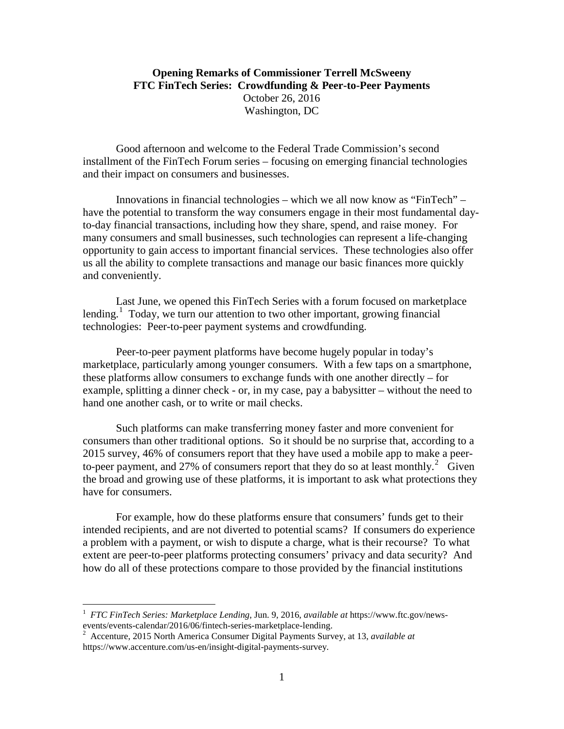## **Opening Remarks of Commissioner Terrell McSweeny FTC FinTech Series: Crowdfunding & Peer-to-Peer Payments** October 26, 2016 Washington, DC

Good afternoon and welcome to the Federal Trade Commission's second installment of the FinTech Forum series – focusing on emerging financial technologies and their impact on consumers and businesses.

Innovations in financial technologies – which we all now know as "FinTech" – have the potential to transform the way consumers engage in their most fundamental dayto-day financial transactions, including how they share, spend, and raise money. For many consumers and small businesses, such technologies can represent a life-changing opportunity to gain access to important financial services. These technologies also offer us all the ability to complete transactions and manage our basic finances more quickly and conveniently.

Last June, we opened this FinTech Series with a forum focused on marketplace lending.<sup>[1](#page-0-0)</sup> Today, we turn our attention to two other important, growing financial technologies: Peer-to-peer payment systems and crowdfunding.

Peer-to-peer payment platforms have become hugely popular in today's marketplace, particularly among younger consumers. With a few taps on a smartphone, these platforms allow consumers to exchange funds with one another directly – for example, splitting a dinner check - or, in my case, pay a babysitter – without the need to hand one another cash, or to write or mail checks.

Such platforms can make transferring money faster and more convenient for consumers than other traditional options. So it should be no surprise that, according to a 2015 survey, 46% of consumers report that they have used a mobile app to make a peer-to-peer payment, and [2](#page-0-1)7% of consumers report that they do so at least monthly.<sup>2</sup> Given the broad and growing use of these platforms, it is important to ask what protections they have for consumers.

For example, how do these platforms ensure that consumers' funds get to their intended recipients, and are not diverted to potential scams? If consumers do experience a problem with a payment, or wish to dispute a charge, what is their recourse? To what extent are peer-to-peer platforms protecting consumers' privacy and data security? And how do all of these protections compare to those provided by the financial institutions

<span id="page-0-0"></span> $\frac{1}{1}$  *FTC FinTech Series: Marketplace Lending*, Jun. 9, 2016, *available at* https://www.ftc.gov/newsevents/events-calendar/2016/06/fintech-series-marketplace-lending. <sup>2</sup>

<span id="page-0-1"></span>Accenture, 2015 North America Consumer Digital Payments Survey, at 13, *available at*  https://www.accenture.com/us-en/insight-digital-payments-survey*.*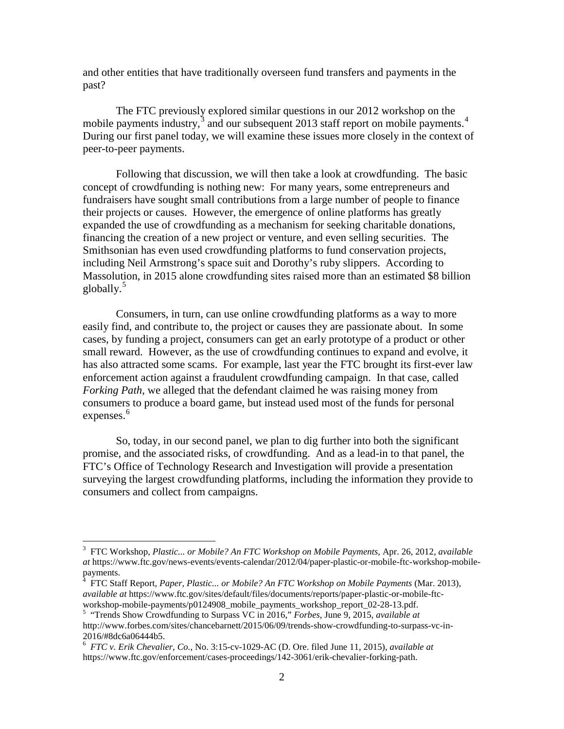and other entities that have traditionally overseen fund transfers and payments in the past?

The FTC previously explored similar questions in our 2012 workshop on the mobile payments industry,<sup>[3](#page-1-0)</sup> and our subsequent 2013 staff report on mobile payments.<sup>[4](#page-1-1)</sup> During our first panel today, we will examine these issues more closely in the context of peer-to-peer payments.

Following that discussion, we will then take a look at crowdfunding. The basic concept of crowdfunding is nothing new: For many years, some entrepreneurs and fundraisers have sought small contributions from a large number of people to finance their projects or causes. However, the emergence of online platforms has greatly expanded the use of crowdfunding as a mechanism for seeking charitable donations, financing the creation of a new project or venture, and even selling securities. The Smithsonian has even used crowdfunding platforms to fund conservation projects, including Neil Armstrong's space suit and Dorothy's ruby slippers. According to Massolution, in 2015 alone crowdfunding sites raised more than an estimated \$8 billion globally.<sup>[5](#page-1-2)</sup>

Consumers, in turn, can use online crowdfunding platforms as a way to more easily find, and contribute to, the project or causes they are passionate about. In some cases, by funding a project, consumers can get an early prototype of a product or other small reward. However, as the use of crowdfunding continues to expand and evolve, it has also attracted some scams. For example, last year the FTC brought its first-ever law enforcement action against a fraudulent crowdfunding campaign. In that case, called *Forking Path*, we alleged that the defendant claimed he was raising money from consumers to produce a board game, but instead used most of the funds for personal expenses.<sup>[6](#page-1-3)</sup>

So, today, in our second panel, we plan to dig further into both the significant promise, and the associated risks, of crowdfunding. And as a lead-in to that panel, the FTC's Office of Technology Research and Investigation will provide a presentation surveying the largest crowdfunding platforms, including the information they provide to consumers and collect from campaigns.

<span id="page-1-0"></span><sup>&</sup>lt;sup>2</sup><br>3 FTC Workshop, *Plastic... or Mobile? An FTC Workshop on Mobile Payments,* Apr. 26, 2012, *available at* https://www.ftc.gov/news-events/events-calendar/2012/04/paper-plastic-or-mobile-ftc-workshop-mobile-

<span id="page-1-1"></span>payments. <sup>4</sup> FTC Staff Report, *Paper, Plastic... or Mobile? An FTC Workshop on Mobile Payments* (Mar. 2013), *available at* https://www.ftc.gov/sites/default/files/documents/reports/paper-plastic-or-mobile-ftc-

<span id="page-1-2"></span>workshop-mobile-payments/p0124908\_mobile\_payments\_workshop\_report\_02-28-13.pdf. 5 "Trends Show Crowdfunding to Surpass VC in 2016," *Forbes*, June 9, 2015, *available at*  http://www.forbes.com/sites/chancebarnett/2015/06/09/trends-show-crowdfunding-to-surpass-vc-in-

<span id="page-1-3"></span><sup>2016/#8</sup>dc6a06444b5. 6 *FTC v. Erik Chevalier, Co.*, No. 3:15-cv-1029-AC (D. Ore. filed June 11, 2015), *available at* https://www.ftc.gov/enforcement/cases-proceedings/142-3061/erik-chevalier-forking-path.